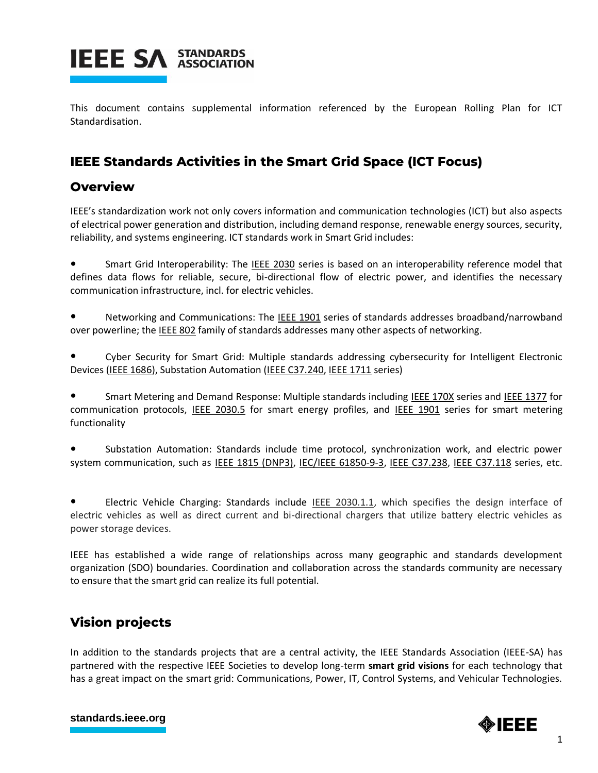

This document contains supplemental information referenced by the European Rolling Plan for ICT Standardisation.

## **IEEE Standards Activities in the Smart Grid Space (ICT Focus)**

## **Overview**

IEEE's standardization work not only covers information and communication technologies (ICT) but also aspects of electrical power generation and distribution, including demand response, renewable energy sources, security, reliability, and systems engineering. ICT standards work in Smart Grid includes:

Smart Grid Interoperability: The IEEE 2030 series is based on an interoperability reference model that defines data flows for reliable, secure, bi-directional flow of electric power, and identifies the necessary communication infrastructure, incl. for electric vehicles.

Networking and Communications: The IEEE 1901 series of standards addresses broadband/narrowband over powerline; the IEEE 802 family of standards addresses many other aspects of networking.

Cyber Security for Smart Grid: Multiple standards addressing cybersecurity for Intelligent Electronic Devices (IEEE 1686), Substation Automation (IEEE C37.240, IEEE 1711 series)

Smart Metering and Demand Response: Multiple standards including IEEE 170X series and IEEE 1377 for communication protocols, IEEE 2030.5 for smart energy profiles, and IEEE 1901 series for smart metering functionality

Substation Automation: Standards include time protocol, synchronization work, and electric power system communication, such as IEEE 1815 (DNP3), IEC/IEEE 61850-9-3, IEEE C37.238, IEEE C37.118 series, etc.

Electric Vehicle Charging: Standards include IEEE 2030.1.1, which specifies the design interface of electric vehicles as well as direct current and bi-directional chargers that utilize battery electric vehicles as power storage devices.

IEEE has established a wide range of relationships across many geographic and standards development organization (SDO) boundaries. Coordination and collaboration across the standards community are necessary to ensure that the smart grid can realize its full potential.

## **Vision projects**

In addition to the standards projects that are a central activity, the IEEE Standards Association (IEEE-SA) has partnered with the respective IEEE Societies to develop long-term **smart grid visions** for each technology that has a great impact on the smart grid: Communications, Power, IT, Control Systems, and Vehicular Technologies.



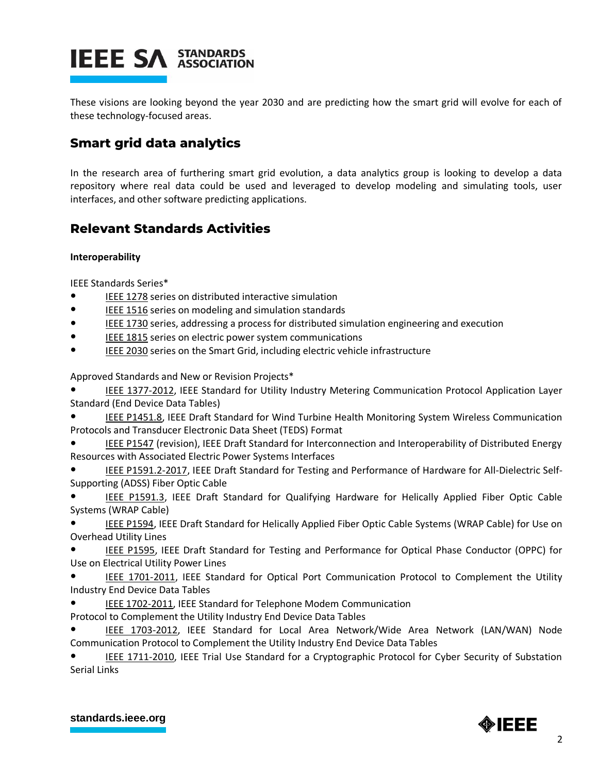These visions are looking beyond the year 2030 and are predicting how the smart grid will evolve for each of these technology-focused areas.

## **Smart grid data analytics**

In the research area of furthering smart grid evolution, a data analytics group is looking to develop a data repository where real data could be used and leveraged to develop modeling and simulating tools, user interfaces, and other software predicting applications.

## **Relevant Standards Activities**

### **Interoperability**

IEEE Standards Series\*

- IEEE 1278 series on distributed interactive simulation
- IEEE 1516 series on modeling and simulation standards
- IEEE 1730 series, addressing a process for distributed simulation engineering and execution
- IEEE 1815 series on electric power system communications
- IEEE 2030 series on the Smart Grid, including electric vehicle infrastructure

Approved Standards and New or Revision Projects\*

IEEE 1377-2012, IEEE Standard for Utility Industry Metering Communication Protocol Application Layer Standard (End Device Data Tables)

IEEE P1451.8, IEEE Draft Standard for Wind Turbine Health Monitoring System Wireless Communication Protocols and Transducer Electronic Data Sheet (TEDS) Format

IEEE P1547 (revision), IEEE Draft Standard for Interconnection and Interoperability of Distributed Energy Resources with Associated Electric Power Systems Interfaces

IEEE P1591.2-2017, IEEE Draft Standard for Testing and Performance of Hardware for All-Dielectric Self-Supporting (ADSS) Fiber Optic Cable

IEEE P1591.3, IEEE Draft Standard for Qualifying Hardware for Helically Applied Fiber Optic Cable Systems (WRAP Cable)

IEEE P1594, IEEE Draft Standard for Helically Applied Fiber Optic Cable Systems (WRAP Cable) for Use on Overhead Utility Lines

IEEE P1595, IEEE Draft Standard for Testing and Performance for Optical Phase Conductor (OPPC) for Use on Electrical Utility Power Lines

IEEE 1701-2011, IEEE Standard for Optical Port Communication Protocol to Complement the Utility Industry End Device Data Tables

IEEE 1702-2011, IEEE Standard for Telephone Modem Communication

Protocol to Complement the Utility Industry End Device Data Tables

IEEE 1703-2012, IEEE Standard for Local Area Network/Wide Area Network (LAN/WAN) Node Communication Protocol to Complement the Utility Industry End Device Data Tables

IEEE 1711-2010, IEEE Trial Use Standard for a Cryptographic Protocol for Cyber Security of Substation Serial Links

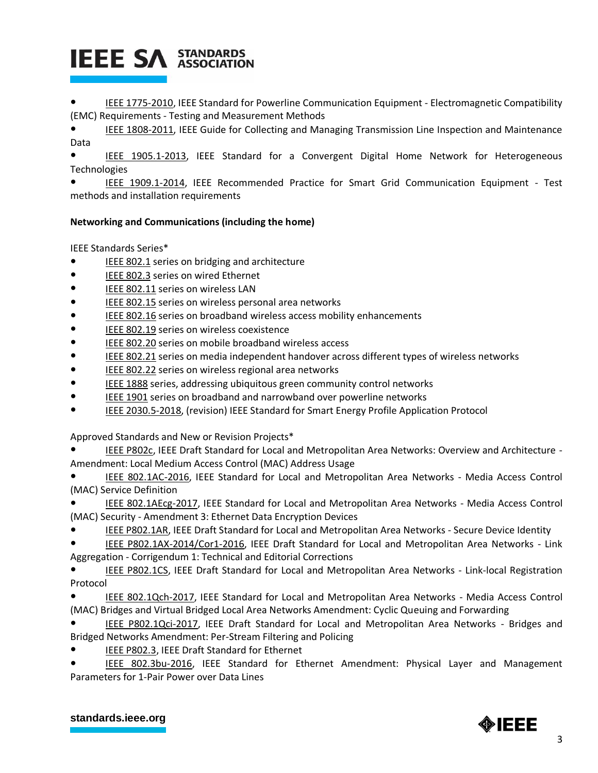IEEE 1775-2010, IEEE Standard for Powerline Communication Equipment - Electromagnetic Compatibility (EMC) Requirements - Testing and Measurement Methods

IEEE 1808-2011, IEEE Guide for Collecting and Managing Transmission Line Inspection and Maintenance Data

IEEE 1905.1-2013, IEEE Standard for a Convergent Digital Home Network for Heterogeneous **Technologies** 

IEEE 1909.1-2014, IEEE Recommended Practice for Smart Grid Communication Equipment - Test methods and installation requirements

### **Networking and Communications (including the home)**

IEEE Standards Series\*

- IEEE 802.1 series on bridging and architecture
- IEEE 802.3 series on wired Ethernet
- IEEE 802.11 series on wireless LAN
- IEEE 802.15 series on wireless personal area networks
- IEEE 802.16 series on broadband wireless access mobility enhancements
- IEEE 802.19 series on wireless coexistence
- IEEE 802.20 series on mobile broadband wireless access
- IEEE 802.21 series on media independent handover across different types of wireless networks
- IEEE 802.22 series on wireless regional area networks
- IEEE 1888 series, addressing ubiquitous green community control networks
- IEEE 1901 series on broadband and narrowband over powerline networks
- IEEE 2030.5-2018, (revision) IEEE Standard for Smart Energy Profile Application Protocol

Approved Standards and New or Revision Projects\*

- IEEE P802c, IEEE Draft Standard for Local and Metropolitan Area Networks: Overview and Architecture -Amendment: Local Medium Access Control (MAC) Address Usage
- IEEE 802.1AC-2016, IEEE Standard for Local and Metropolitan Area Networks Media Access Control (MAC) Service Definition
- IEEE 802.1AEcg-2017, IEEE Standard for Local and Metropolitan Area Networks Media Access Control (MAC) Security - Amendment 3: Ethernet Data Encryption Devices
- IEEE P802.1AR, IEEE Draft Standard for Local and Metropolitan Area Networks Secure Device Identity
- IEEE P802.1AX-2014/Cor1-2016, IEEE Draft Standard for Local and Metropolitan Area Networks Link Aggregation - Corrigendum 1: Technical and Editorial Corrections
- IEEE P802.1CS, IEEE Draft Standard for Local and Metropolitan Area Networks Link-local Registration Protocol
- IEEE 802.1Qch-2017, IEEE Standard for Local and Metropolitan Area Networks Media Access Control (MAC) Bridges and Virtual Bridged Local Area Networks Amendment: Cyclic Queuing and Forwarding
- IEEE P802.1Qci-2017, IEEE Draft Standard for Local and Metropolitan Area Networks Bridges and Bridged Networks Amendment: Per-Stream Filtering and Policing
- IEEE P802.3, IEEE Draft Standard for Ethernet
- IEEE 802.3bu-2016, IEEE Standard for Ethernet Amendment: Physical Layer and Management Parameters for 1-Pair Power over Data Lines

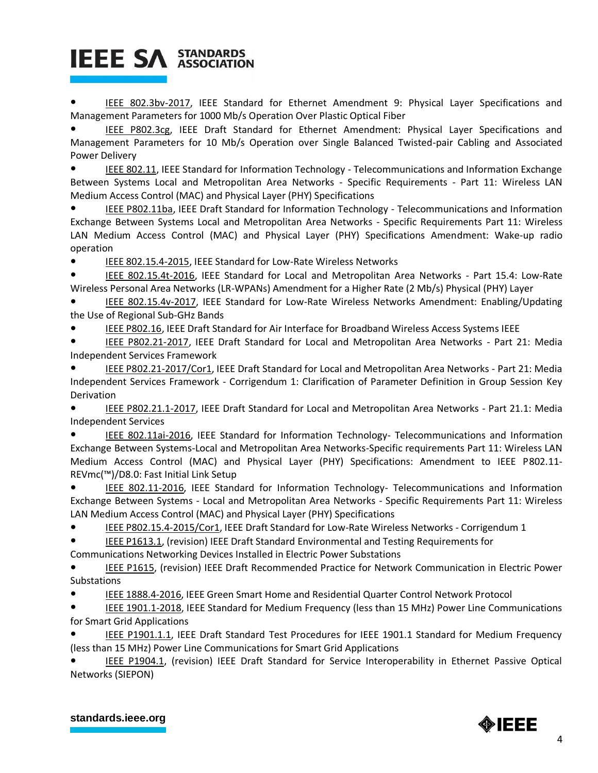IEEE 802.3bv-2017, IEEE Standard for Ethernet Amendment 9: Physical Layer Specifications and Management Parameters for 1000 Mb/s Operation Over Plastic Optical Fiber

IEEE P802.3cg, IEEE Draft Standard for Ethernet Amendment: Physical Layer Specifications and Management Parameters for 10 Mb/s Operation over Single Balanced Twisted-pair Cabling and Associated Power Delivery

IEEE 802.11, IEEE Standard for Information Technology - Telecommunications and Information Exchange Between Systems Local and Metropolitan Area Networks - Specific Requirements - Part 11: Wireless LAN Medium Access Control (MAC) and Physical Layer (PHY) Specifications

IEEE P802.11ba, IEEE Draft Standard for Information Technology - Telecommunications and Information Exchange Between Systems Local and Metropolitan Area Networks - Specific Requirements Part 11: Wireless LAN Medium Access Control (MAC) and Physical Layer (PHY) Specifications Amendment: Wake-up radio operation

IEEE 802.15.4-2015, IEEE Standard for Low-Rate Wireless Networks

IEEE 802.15.4t-2016, IEEE Standard for Local and Metropolitan Area Networks - Part 15.4: Low-Rate Wireless Personal Area Networks (LR-WPANs) Amendment for a Higher Rate (2 Mb/s) Physical (PHY) Layer

IEEE 802.15.4v-2017, IEEE Standard for Low-Rate Wireless Networks Amendment: Enabling/Updating the Use of Regional Sub-GHz Bands

● IEEE P802.16, IEEE Draft Standard for Air Interface for Broadband Wireless Access Systems IEEE

IEEE P802.21-2017, IEEE Draft Standard for Local and Metropolitan Area Networks - Part 21: Media Independent Services Framework

IEEE P802.21-2017/Cor1, IEEE Draft Standard for Local and Metropolitan Area Networks - Part 21: Media Independent Services Framework - Corrigendum 1: Clarification of Parameter Definition in Group Session Key Derivation

IEEE P802.21.1-2017, IEEE Draft Standard for Local and Metropolitan Area Networks - Part 21.1: Media Independent Services

IEEE 802.11ai-2016, IEEE Standard for Information Technology- Telecommunications and Information Exchange Between Systems-Local and Metropolitan Area Networks-Specific requirements Part 11: Wireless LAN Medium Access Control (MAC) and Physical Layer (PHY) Specifications: Amendment to IEEE P802.11- REVmc(™)/D8.0: Fast Initial Link Setup

IEEE 802.11-2016, IEEE Standard for Information Technology- Telecommunications and Information Exchange Between Systems - Local and Metropolitan Area Networks - Specific Requirements Part 11: Wireless LAN Medium Access Control (MAC) and Physical Layer (PHY) Specifications

IEEE P802.15.4-2015/Cor1, IEEE Draft Standard for Low-Rate Wireless Networks - Corrigendum 1

IEEE P1613.1, (revision) IEEE Draft Standard Environmental and Testing Requirements for

Communications Networking Devices Installed in Electric Power Substations

IEEE P1615, (revision) IEEE Draft Recommended Practice for Network Communication in Electric Power Substations

● IEEE 1888.4-2016, IEEE Green Smart Home and Residential Quarter Control Network Protocol

**• IEEE 1901.1-2018, IEEE Standard for Medium Frequency (less than 15 MHz) Power Line Communications** for Smart Grid Applications

IEEE P1901.1.1, IEEE Draft Standard Test Procedures for IEEE 1901.1 Standard for Medium Frequency (less than 15 MHz) Power Line Communications for Smart Grid Applications

IEEE P1904.1, (revision) IEEE Draft Standard for Service Interoperability in Ethernet Passive Optical Networks (SIEPON)

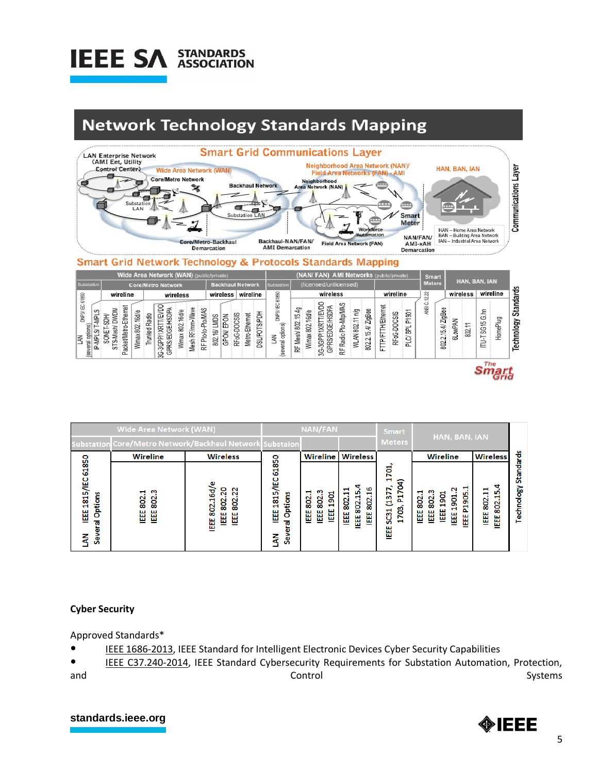

## **Network Technology Standards Mapping**



### **Smart Grid Network Technology & Protocols Standards Mapping**

| Wide Area Network (WAN) (public/private)                |                                                                                     |                                                                                                                                                                 |                                                                                          | (NAN/ FAN) AMI Networks (public/private)  |                                                                                                                                                                |                                                             | <b>Smart</b>                      |                        |                                        |                                |
|---------------------------------------------------------|-------------------------------------------------------------------------------------|-----------------------------------------------------------------------------------------------------------------------------------------------------------------|------------------------------------------------------------------------------------------|-------------------------------------------|----------------------------------------------------------------------------------------------------------------------------------------------------------------|-------------------------------------------------------------|-----------------------------------|------------------------|----------------------------------------|--------------------------------|
| Substation                                              | <b>Core/Metro Network</b>                                                           |                                                                                                                                                                 | <b>Backhaul Network</b>                                                                  | Substation                                | (licensed/unlicensed)                                                                                                                                          |                                                             | <b>Meters</b>                     | HAN, BAN, IAN          |                                        |                                |
| 61860                                                   | wireline                                                                            | wireless                                                                                                                                                        | wireline<br>wireless                                                                     |                                           | wireless                                                                                                                                                       | wireline                                                    | କ୍ଷ<br>언                          | wireless               | wireline                               |                                |
| DNP3/IEC<br>S<br>la∦<br>(several options)<br>P-MPL<br>k | Ethemet<br>DWDM<br>16d/e<br>802.<br>acket/Metro<br><b>SON</b><br>Wimax<br>SΤS<br>a. | <b>T/EVDO</b><br>Wave<br><b>AGOR</b><br>L<br>16d/e<br>Radio<br>MoM-<br>RF/mm-<br>GPRS/EDGE/<br>1XRT<br>2<br>Trunked<br>RFPto-to-<br>Wimax<br>3GPP'<br>Mesh<br>9 | DSL/POTS/PDH<br>Metro-Ethernet<br>RFoG-DOCSIS<br>EPON<br><b>LMDS</b><br>ø<br>GPON<br>802 | DNP3/IEC61850<br>opfions)<br>℥<br>several | -3GPP/1XRTT/EVDC<br>Radio Pto-Mtp/MAS<br>GPRS/EDGE/HSDPA<br>RF Mesh/ 802.15.4g<br>ZigBee<br>802.11 n/g<br>Wimax 802.16d/e<br>15.4/<br>WLAN<br>8022<br>눈<br>ల్ల | TH/Ethemet<br>P1901<br>RFoG-DOCSIS<br>릶<br>TPFT<br>일<br>Ĺ1. | ပ<br>ANSI<br>15.4/ZigBee<br>802.2 | owPAI<br>≂<br>802<br>ಹ | 통<br>HomePlug<br>SG <sub>15</sub><br>三 | <b>Standards</b><br>Technology |
| The                                                     |                                                                                     |                                                                                                                                                                 |                                                                                          |                                           |                                                                                                                                                                |                                                             |                                   |                        |                                        |                                |

|                                                      | <b>Wide Area Network (WAN)</b>                           | <b>NAN/FAN</b>                                                       |                                                                         |                                                                       | <b>Smart</b>                                                         | HAN, BAN, IAN                                                                                                            |                                                                                            |                                  |                                |
|------------------------------------------------------|----------------------------------------------------------|----------------------------------------------------------------------|-------------------------------------------------------------------------|-----------------------------------------------------------------------|----------------------------------------------------------------------|--------------------------------------------------------------------------------------------------------------------------|--------------------------------------------------------------------------------------------|----------------------------------|--------------------------------|
|                                                      | Substation Core/Metro Network/Backhaul Network Substaion |                                                                      |                                                                         |                                                                       | <b>Meters</b>                                                        |                                                                                                                          |                                                                                            |                                  |                                |
|                                                      | <b>Wireline</b>                                          | <b>Wireless</b>                                                      |                                                                         | Wireline                                                              | <b>Wireless</b>                                                      |                                                                                                                          | Wireline                                                                                   | <b>Wireless</b>                  |                                |
| 61850<br>1815/IEC<br>Options<br>쁣<br>त<br>Sever<br>ã | ო<br>ч<br>802<br>802<br>쁣<br>쁣                           | ω<br>o<br>N<br>꾾<br>Ν<br>Ņ<br>۰,<br>802<br>802<br>802<br>뼖<br>쁣<br>쁣 | 61850<br><b>Sall</b><br>1815<br>Options<br>뼖<br>70<br>ω<br>5<br>ā<br>Ĵ, | ო<br>ч<br><u>ទ្ល</u><br>802.<br>802.<br>$\blacksquare$<br>쁣<br>쁣<br>쁣 | ч<br>ഄ൦<br>u<br>m<br>u<br>H<br>ų<br>802<br>802<br>802<br>뼖<br>쁣<br>쁣 | ਏਂ<br>$\mathbf{H}$<br>$\overline{\bf 8}$<br>N<br>Б<br>5<br>甚<br>브<br>703<br>$\overline{\text{c}}$<br>$\blacksquare$<br>뼖 | P1905.1<br>N<br>ო<br>802.1<br>ទ្ល<br><u>ទ្ល</u><br>802.<br>Н<br>u<br>쁣<br>쁣<br>뼖<br>쁣<br>쁣 | a<br>802.11<br>802.15.<br>쁣<br>쁣 | <b>Standards</b><br>Technology |

### **Cyber Security**

Approved Standards\*

● IEEE 1686-2013, IEEE Standard for Intelligent Electronic Devices Cyber Security Capabilities

IEEE C37.240-2014, IEEE Standard Cybersecurity Requirements for Substation Automation, Protection, and Systems and Systems and Systems and Systems and Systems and Systems and Systems and Systems and Systems and

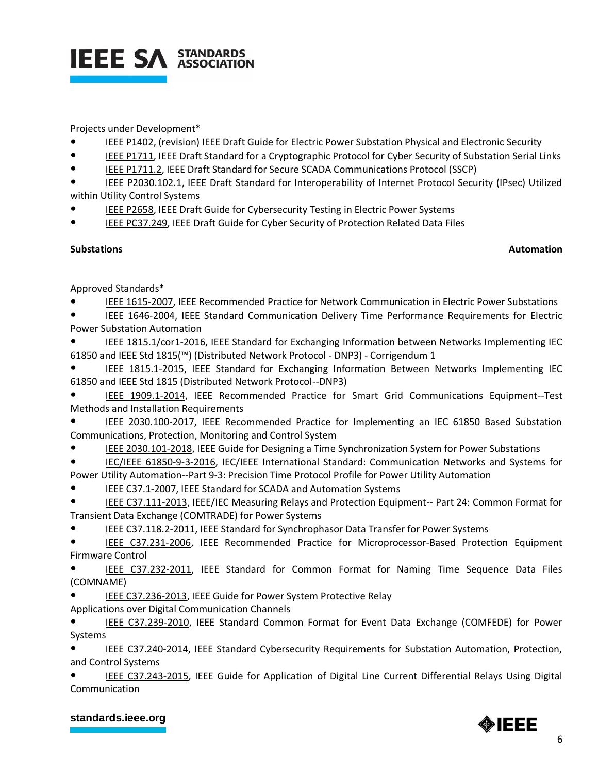

### Projects under Development\*

- **IEEE P1402, (revision) IEEE Draft Guide for Electric Power Substation Physical and Electronic Security**
- **IEEE P1711, IEEE Draft Standard for a Cryptographic Protocol for Cyber Security of Substation Serial Links**
- IEEE P1711.2, IEEE Draft Standard for Secure SCADA Communications Protocol (SSCP)

IEEE P2030.102.1, IEEE Draft Standard for Interoperability of Internet Protocol Security (IPsec) Utilized within Utility Control Systems

- IEEE P2658, IEEE Draft Guide for Cybersecurity Testing in Electric Power Systems
- IEEE PC37.249, IEEE Draft Guide for Cyber Security of Protection Related Data Files

### **Substations** Automation

Approved Standards\*

- IEEE 1615-2007, IEEE Recommended Practice for Network Communication in Electric Power Substations
- IEEE 1646-2004, IEEE Standard Communication Delivery Time Performance Requirements for Electric Power Substation Automation

IEEE 1815.1/cor1-2016, IEEE Standard for Exchanging Information between Networks Implementing IEC 61850 and IEEE Std 1815(™) (Distributed Network Protocol - DNP3) - Corrigendum 1

IEEE 1815.1-2015, IEEE Standard for Exchanging Information Between Networks Implementing IEC 61850 and IEEE Std 1815 (Distributed Network Protocol--DNP3)

IEEE 1909.1-2014, IEEE Recommended Practice for Smart Grid Communications Equipment--Test Methods and Installation Requirements

IEEE 2030.100-2017, IEEE Recommended Practice for Implementing an IEC 61850 Based Substation Communications, Protection, Monitoring and Control System

IEEE 2030.101-2018, IEEE Guide for Designing a Time Synchronization System for Power Substations

IEC/IEEE 61850-9-3-2016, IEC/IEEE International Standard: Communication Networks and Systems for Power Utility Automation--Part 9-3: Precision Time Protocol Profile for Power Utility Automation

- IEEE C37.1-2007, IEEE Standard for SCADA and Automation Systems
- IEEE C37.111-2013, IEEE/IEC Measuring Relays and Protection Equipment-- Part 24: Common Format for Transient Data Exchange (COMTRADE) for Power Systems

IEEE C37.118.2-2011, IEEE Standard for Synchrophasor Data Transfer for Power Systems

● IEEE C37.231-2006, IEEE Recommended Practice for Microprocessor-Based Protection Equipment Firmware Control

IEEE C37.232-2011, IEEE Standard for Common Format for Naming Time Sequence Data Files (COMNAME)

IEEE C37.236-2013, IEEE Guide for Power System Protective Relay

Applications over Digital Communication Channels

IEEE C37.239-2010, IEEE Standard Common Format for Event Data Exchange (COMFEDE) for Power Systems

IEEE C37.240-2014, IEEE Standard Cybersecurity Requirements for Substation Automation, Protection, and Control Systems

IEEE C37.243-2015, IEEE Guide for Application of Digital Line Current Differential Relays Using Digital Communication

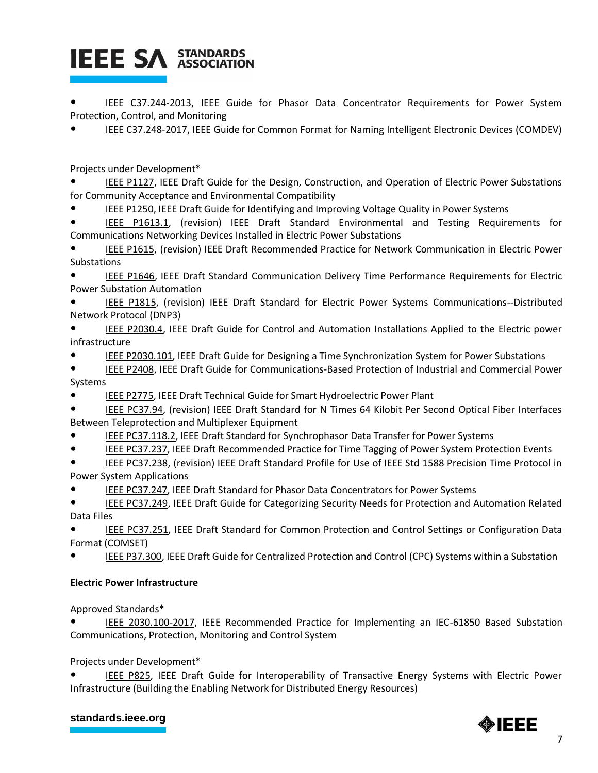IEEE C37.244-2013, IEEE Guide for Phasor Data Concentrator Requirements for Power System Protection, Control, and Monitoring

IEEE C37.248-2017, IEEE Guide for Common Format for Naming Intelligent Electronic Devices (COMDEV)

Projects under Development\*

IEEE P1127, IEEE Draft Guide for the Design, Construction, and Operation of Electric Power Substations for Community Acceptance and Environmental Compatibility

IEEE P1250, IEEE Draft Guide for Identifying and Improving Voltage Quality in Power Systems

IEEE P1613.1, (revision) IEEE Draft Standard Environmental and Testing Requirements for Communications Networking Devices Installed in Electric Power Substations

IEEE P1615, (revision) IEEE Draft Recommended Practice for Network Communication in Electric Power Substations

IEEE P1646, IEEE Draft Standard Communication Delivery Time Performance Requirements for Electric Power Substation Automation

IEEE P1815, (revision) IEEE Draft Standard for Electric Power Systems Communications--Distributed Network Protocol (DNP3)

IEEE P2030.4, IEEE Draft Guide for Control and Automation Installations Applied to the Electric power infrastructure

IEEE P2030.101, IEEE Draft Guide for Designing a Time Synchronization System for Power Substations

IEEE P2408, IEEE Draft Guide for Communications-Based Protection of Industrial and Commercial Power Systems

IEEE P2775, IEEE Draft Technical Guide for Smart Hydroelectric Power Plant

IEEE PC37.94, (revision) IEEE Draft Standard for N Times 64 Kilobit Per Second Optical Fiber Interfaces Between Teleprotection and Multiplexer Equipment

- IEEE PC37.118.2, IEEE Draft Standard for Synchrophasor Data Transfer for Power Systems
- IEEE PC37.237, IEEE Draft Recommended Practice for Time Tagging of Power System Protection Events

IEEE PC37.238, (revision) IEEE Draft Standard Profile for Use of IEEE Std 1588 Precision Time Protocol in Power System Applications

IEEE PC37.247, IEEE Draft Standard for Phasor Data Concentrators for Power Systems

● IEEE PC37.249, IEEE Draft Guide for Categorizing Security Needs for Protection and Automation Related Data Files

IEEE PC37.251, IEEE Draft Standard for Common Protection and Control Settings or Configuration Data Format (COMSET)

IEEE P37.300, IEEE Draft Guide for Centralized Protection and Control (CPC) Systems within a Substation

### **Electric Power Infrastructure**

Approved Standards\*

IEEE 2030.100-2017, IEEE Recommended Practice for Implementing an IEC-61850 Based Substation Communications, Protection, Monitoring and Control System

Projects under Development\*

IEEE P825, IEEE Draft Guide for Interoperability of Transactive Energy Systems with Electric Power Infrastructure (Building the Enabling Network for Distributed Energy Resources)

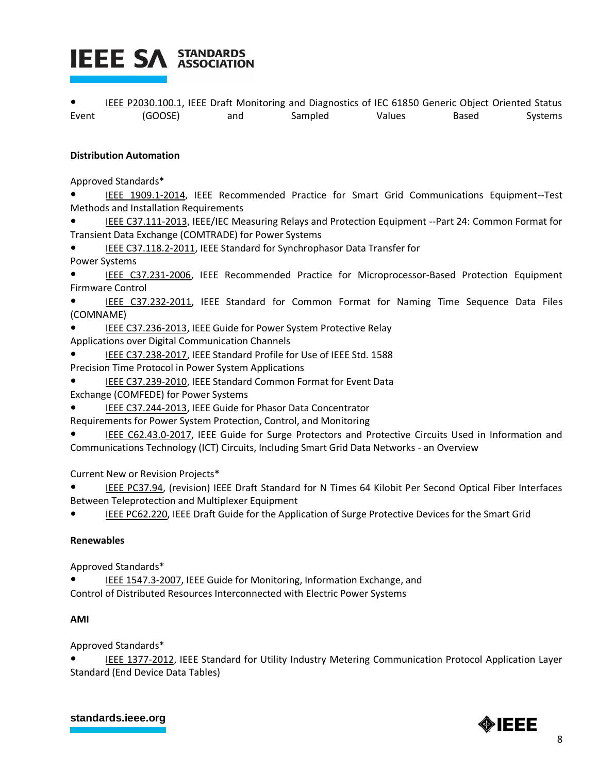IEEE P2030.100.1, IEEE Draft Monitoring and Diagnostics of IEC 61850 Generic Object Oriented Status Event (GOOSE) and Sampled Values Based Systems

### **Distribution Automation**

Approved Standards\*

IEEE 1909.1-2014, IEEE Recommended Practice for Smart Grid Communications Equipment--Test Methods and Installation Requirements

IEEE C37.111-2013, IEEE/IEC Measuring Relays and Protection Equipment --Part 24: Common Format for Transient Data Exchange (COMTRADE) for Power Systems

IEEE C37.118.2-2011, IEEE Standard for Synchrophasor Data Transfer for Power Systems

IEEE C37.231-2006, IEEE Recommended Practice for Microprocessor-Based Protection Equipment Firmware Control

IEEE C37.232-2011, IEEE Standard for Common Format for Naming Time Sequence Data Files (COMNAME)

- IEEE C37.236-2013, IEEE Guide for Power System Protective Relay Applications over Digital Communication Channels
- IEEE C37.238-2017, IEEE Standard Profile for Use of IEEE Std. 1588
- 
- Precision Time Protocol in Power System Applications
- IEEE C37.239-2010, IEEE Standard Common Format for Event Data Exchange (COMFEDE) for Power Systems
- IEEE C37.244-2013, IEEE Guide for Phasor Data Concentrator
- Requirements for Power System Protection, Control, and Monitoring
- IEEE C62.43.0-2017, IEEE Guide for Surge Protectors and Protective Circuits Used in Information and Communications Technology (ICT) Circuits, Including Smart Grid Data Networks - an Overview

Current New or Revision Projects\*

IEEE PC37.94, (revision) IEEE Draft Standard for N Times 64 Kilobit Per Second Optical Fiber Interfaces Between Teleprotection and Multiplexer Equipment

IEEE PC62.220, IEEE Draft Guide for the Application of Surge Protective Devices for the Smart Grid

### **Renewables**

Approved Standards\*

IEEE 1547.3-2007, IEEE Guide for Monitoring, Information Exchange, and Control of Distributed Resources Interconnected with Electric Power Systems

### **AMI**

Approved Standards\*

IEEE 1377-2012, IEEE Standard for Utility Industry Metering Communication Protocol Application Layer Standard (End Device Data Tables)

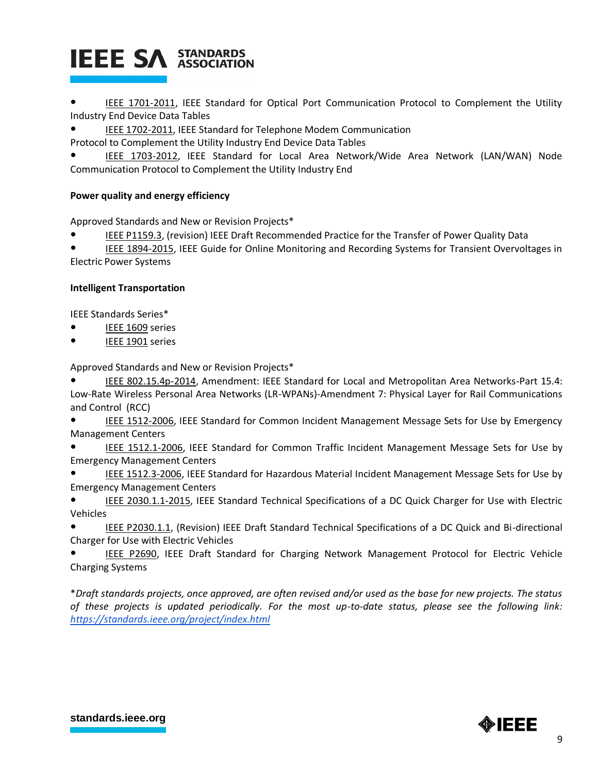IEEE 1701-2011, IEEE Standard for Optical Port Communication Protocol to Complement the Utility Industry End Device Data Tables

IEEE 1702-2011, IEEE Standard for Telephone Modem Communication

Protocol to Complement the Utility Industry End Device Data Tables

IEEE 1703-2012, IEEE Standard for Local Area Network/Wide Area Network (LAN/WAN) Node Communication Protocol to Complement the Utility Industry End

### **Power quality and energy efficiency**

Approved Standards and New or Revision Projects\*

IEEE P1159.3, (revision) IEEE Draft Recommended Practice for the Transfer of Power Quality Data

IEEE 1894-2015, IEEE Guide for Online Monitoring and Recording Systems for Transient Overvoltages in Electric Power Systems

### **Intelligent Transportation**

IEEE Standards Series\*

- IEEE 1609 series
- IEEE 1901 series

Approved Standards and New or Revision Projects\*

IEEE 802.15.4p-2014, Amendment: IEEE Standard for Local and Metropolitan Area Networks-Part 15.4: Low-Rate Wireless Personal Area Networks (LR-WPANs)-Amendment 7: Physical Layer for Rail Communications and Control (RCC)

IEEE 1512-2006, IEEE Standard for Common Incident Management Message Sets for Use by Emergency Management Centers

IEEE 1512.1-2006, IEEE Standard for Common Traffic Incident Management Message Sets for Use by Emergency Management Centers

IEEE 1512.3-2006, IEEE Standard for Hazardous Material Incident Management Message Sets for Use by Emergency Management Centers

IEEE 2030.1.1-2015, IEEE Standard Technical Specifications of a DC Quick Charger for Use with Electric Vehicles

IEEE P2030.1.1, (Revision) IEEE Draft Standard Technical Specifications of a DC Quick and Bi-directional Charger for Use with Electric Vehicles

IEEE P2690, IEEE Draft Standard for Charging Network Management Protocol for Electric Vehicle Charging Systems

\**Draft standards projects, once approved, are often revised and/or used as the base for new projects. The status of these projects is updated periodically. For the most up-to-date status, please see the following link: <https://standards.ieee.org/project/index.html>*